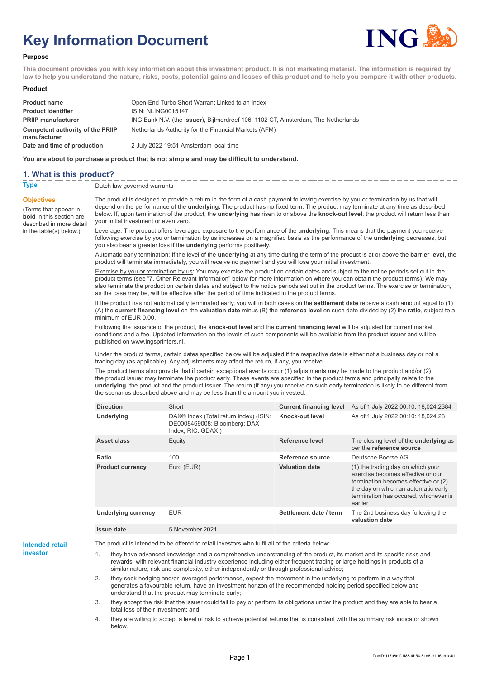# **Key Information Document**



#### **Purpose**

**This document provides you with key information about this investment product. It is not marketing material. The information is required by law to help you understand the nature, risks, costs, potential gains and losses of this product and to help you compare it with other products.**

#### **Product**

| <b>Product name</b>                              | Open-End Turbo Short Warrant Linked to an Index                                   |
|--------------------------------------------------|-----------------------------------------------------------------------------------|
| <b>Product identifier</b>                        | <b>ISIN: NLING0015147</b>                                                         |
| <b>PRIIP manufacturer</b>                        | ING Bank N.V. (the issuer), Bijlmerdreef 106, 1102 CT, Amsterdam, The Netherlands |
| Competent authority of the PRIIP<br>manufacturer | Netherlands Authority for the Financial Markets (AFM)                             |
| Date and time of production                      | 2 July 2022 19:51 Amsterdam local time                                            |

**You are about to purchase a product that is not simple and may be difficult to understand.**

### **1. What is this product?**

**Objectives**

(Terms that appear in **bold** in this section are

in the table(s) below.)

**Type** Dutch law governed warrants

described in more detail The product is designed to provide a return in the form of a cash payment following exercise by you or termination by us that will depend on the performance of the **underlying**. The product has no fixed term. The product may terminate at any time as described below. If, upon termination of the product, the **underlying** has risen to or above the **knock-out level**, the product will return less than your initial investment or even zero.

> Leverage: The product offers leveraged exposure to the performance of the **underlying**. This means that the payment you receive following exercise by you or termination by us increases on a magnified basis as the performance of the **underlying** decreases, but you also bear a greater loss if the **underlying** performs positively.

Automatic early termination: If the level of the **underlying** at any time during the term of the product is at or above the **barrier level**, the product will terminate immediately, you will receive no payment and you will lose your initial investment.

Exercise by you or termination by us: You may exercise the product on certain dates and subject to the notice periods set out in the product terms (see "7. Other Relevant Information" below for more information on where you can obtain the product terms). We may also terminate the product on certain dates and subject to the notice periods set out in the product terms. The exercise or termination, as the case may be, will be effective after the period of time indicated in the product terms.

If the product has not automatically terminated early, you will in both cases on the **settlement date** receive a cash amount equal to (1) (A) the **current financing level** on the **valuation date** minus (B) the **reference level** on such date divided by (2) the **ratio**, subject to a minimum of EUR 0.00.

Following the issuance of the product, the **knock-out level** and the **current financing level** will be adjusted for current market conditions and a fee. Updated information on the levels of such components will be available from the product issuer and will be published on www.ingsprinters.nl.

Under the product terms, certain dates specified below will be adjusted if the respective date is either not a business day or not a trading day (as applicable). Any adjustments may affect the return, if any, you receive.

The product terms also provide that if certain exceptional events occur (1) adjustments may be made to the product and/or (2) the product issuer may terminate the product early. These events are specified in the product terms and principally relate to the **underlying**, the product and the product issuer. The return (if any) you receive on such early termination is likely to be different from the scenarios described above and may be less than the amount you invested.

| <b>Direction</b>           | Short                                                                                                    | <b>Current financing level</b> | As of 1 July 2022 00:10: 18,024.2384                                                                                                                                                                      |
|----------------------------|----------------------------------------------------------------------------------------------------------|--------------------------------|-----------------------------------------------------------------------------------------------------------------------------------------------------------------------------------------------------------|
| Underlying                 | DAX <sup>®</sup> Index (Total return index) (ISIN:<br>DE0008469008; Bloomberg: DAX<br>Index: RIC: GDAXI) | Knock-out level                | As of 1 July 2022 00:10: 18,024.23                                                                                                                                                                        |
| Asset class                | Equity                                                                                                   | Reference level                | The closing level of the <b>underlying</b> as<br>per the reference source                                                                                                                                 |
| Ratio                      | 100                                                                                                      | Reference source               | Deutsche Boerse AG                                                                                                                                                                                        |
| <b>Product currency</b>    | Euro (EUR)                                                                                               | <b>Valuation date</b>          | (1) the trading day on which your<br>exercise becomes effective or our<br>termination becomes effective or (2)<br>the day on which an automatic early<br>termination has occured, whichever is<br>earlier |
| <b>Underlying currency</b> | <b>EUR</b>                                                                                               | Settlement date / term         | The 2nd business day following the<br>valuation date                                                                                                                                                      |
| Issue date                 | 5 November 2021                                                                                          |                                |                                                                                                                                                                                                           |

**Intended retail investor**

The product is intended to be offered to retail investors who fulfil all of the criteria below:

they have advanced knowledge and a comprehensive understanding of the product, its market and its specific risks and rewards, with relevant financial industry experience including either frequent trading or large holdings in products of a similar nature, risk and complexity, either independently or through professional advice;

2. they seek hedging and/or leveraged performance, expect the movement in the underlying to perform in a way that generates a favourable return, have an investment horizon of the recommended holding period specified below and understand that the product may terminate early;

3. they accept the risk that the issuer could fail to pay or perform its obligations under the product and they are able to bear a total loss of their investment; and

4. they are willing to accept a level of risk to achieve potential returns that is consistent with the summary risk indicator shown below.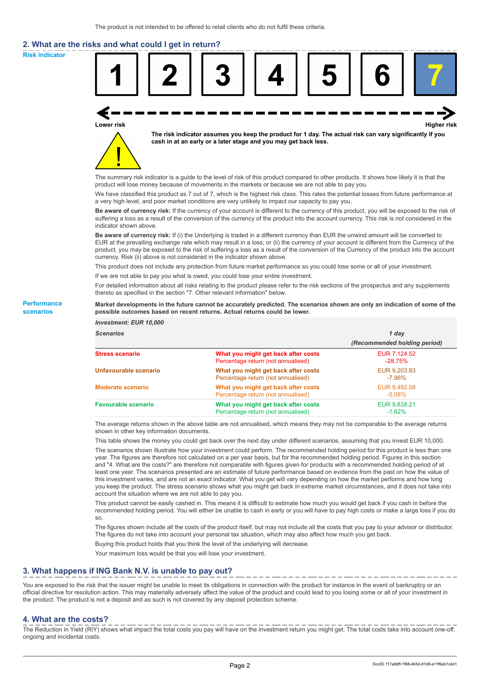# **2. What are the risks and what could I get in return?**

**Risk indicator**

**Performance scenarios**



thereto as specified in the section "7. Other relevant information" below.

#### **Market developments in the future cannot be accurately predicted. The scenarios shown are only an indication of some of the possible outcomes based on recent returns. Actual returns could be lower.**

| <b>Investment: EUR 10,000</b> |                                                                           |                              |
|-------------------------------|---------------------------------------------------------------------------|------------------------------|
| <b>Scenarios</b>              |                                                                           | 1 day                        |
|                               |                                                                           | (Recommended holding period) |
| <b>Stress scenario</b>        | What you might get back after costs<br>Percentage return (not annualised) | EUR 7.124.52<br>$-28.75%$    |
| Unfavourable scenario         | What you might get back after costs<br>Percentage return (not annualised) | EUR 9,203.83<br>$-7.96\%$    |
| <b>Moderate scenario</b>      | What you might get back after costs<br>Percentage return (not annualised) | EUR 9.492.08<br>$-5.08\%$    |
| <b>Favourable scenario</b>    | What you might get back after costs<br>Percentage return (not annualised) | EUR 9,838.21<br>$-1.62%$     |

The average returns shown in the above table are not annualised, which means they may not be comparable to the average returns shown in other key information documents.

This table shows the money you could get back over the next day under different scenarios, assuming that you invest EUR 10,000.

The scenarios shown illustrate how your investment could perform. The recommended holding period for this product is less than one year. The figures are therefore not calculated on a per year basis, but for the recommended holding period. Figures in this section and "4. What are the costs?" are therefore not comparable with figures given for products with a recommended holding period of at least one year. The scenarios presented are an estimate of future performance based on evidence from the past on how the value of this investment varies, and are not an exact indicator. What you get will vary depending on how the market performs and how long you keep the product. The stress scenario shows what you might get back in extreme market circumstances, and it does not take into account the situation where we are not able to pay you.

This product cannot be easily cashed in. This means it is difficult to estimate how much you would get back if you cash in before the recommended holding period. You will either be unable to cash in early or you will have to pay high costs or make a large loss if you do so.

The figures shown include all the costs of the product itself, but may not include all the costs that you pay to your advisor or distributor. The figures do not take into account your personal tax situation, which may also affect how much you get back.

Buying this product holds that you think the level of the underlying will decrease.

Your maximum loss would be that you will lose your investment.

## **3. What happens if ING Bank N.V. is unable to pay out?**

You are exposed to the risk that the issuer might be unable to meet its obligations in connection with the product for instance in the event of bankruptcy or an official directive for resolution action. This may materially adversely affect the value of the product and could lead to you losing some or all of your investment in the product. The product is not a deposit and as such is not covered by any deposit protection scheme.

### **4. What are the costs?**

The Reduction in Yield (RIY) shows what impact the total costs you pay will have on the investment return you might get. The total costs take into account one-off, ongoing and incidental costs.